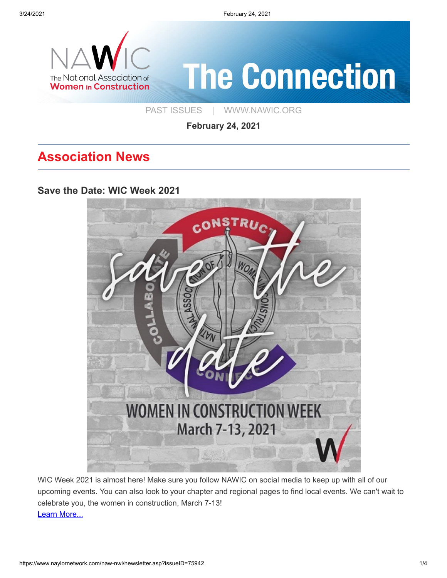3/24/2021 February 24, 2021



[PAST ISSUES](https://www.naylornetwork.com/naw-nwl/index.asp) | [WWW.NAWIC.ORG](https://www.nawic.org/nawic/default.asp)

**February 24, 2021**

# **Association News**

**[Save the Date: WIC Week 2021](https://www.naylornetwork.com/naw-nwl/www.nawic.org/NewsBot.asp?MODE=VIEW&ID=456)**



WIC Week 2021 is almost here! Make sure you follow NAWIC on social media to keep up with all of our upcoming events. You can also look to your chapter and regional pages to find local events. We can't wait to celebrate you, the women in construction, March 7-13! [Learn More...](https://www.naylornetwork.com/naw-nwl/www.nawic.org/NewsBot.asp?MODE=VIEW&ID=456)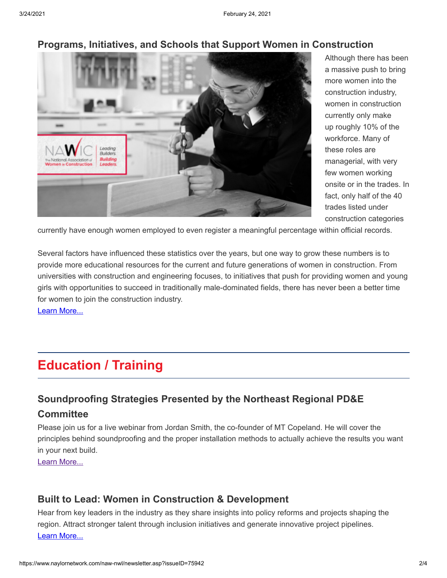

**[Programs, Initiatives, and Schools that Support Women in Construction](https://www.naylornetwork.com/naw-nwl/www.nawic.org/NewsBot.asp?MODE=VIEW&ID=457)**

Although there has been a massive push to bring more women into the construction industry, women in construction currently only make up roughly 10% of the workforce. Many of these roles are managerial, with very few women working onsite or in the trades. In fact, only half of the 40 trades listed under construction categories

currently have enough women employed to even register a meaningful percentage within official records.

Several factors have influenced these statistics over the years, but one way to grow these numbers is to provide more educational resources for the current and future generations of women in construction. From universities with construction and engineering focuses, to initiatives that push for providing women and young girls with opportunities to succeed in traditionally male-dominated fields, there has never been a better time for women to join the construction industry.

[Learn More...](https://www.naylornetwork.com/naw-nwl/www.nawic.org/NewsBot.asp?MODE=VIEW&ID=457)

## **Education / Training**

### **[Soundproofing Strategies Presented by the Northeast Regional PD&E](https://www.nawicnortheast.org/event-4168132) Committee**

Please join us for a live webinar from Jordan Smith, the co-founder of MT Copeland. He will cover the principles behind soundproofing and the proper installation methods to actually achieve the results you want in your next build.

[Learn More...](https://www.nawicnortheast.org/event-4168132)

#### **[Built to Lead: Women in Construction & Development](https://www.naylornetwork.com/naw-nwl/www.bisnow.com/webinar/new-york/built-to-lead-7146)**

Hear from key leaders in the industry as they share insights into policy reforms and projects shaping the region. Attract stronger talent through inclusion initiatives and generate innovative project pipelines. [Learn More...](https://www.naylornetwork.com/naw-nwl/www.bisnow.com/webinar/new-york/built-to-lead-7146)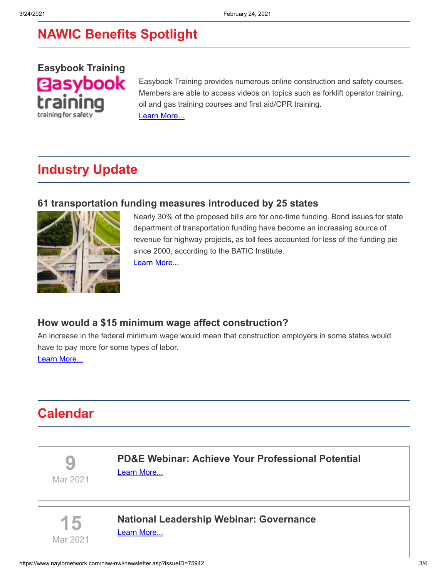# **NAWIC Benefits Spotlight**

**[Easybook Training](https://www.naylornetwork.com/naw-nwl/www.easybooktraining.com) @asybook** training for safet

Easybook Training provides numerous online construction and safety courses. Members are able to access videos on topics such as forklift operator training, oil and gas training courses and first aid/CPR training. [Learn More...](https://www.naylornetwork.com/naw-nwl/www.easybooktraining.com)

# **Industry Update**

### **[61 transportation funding measures introduced by 25 states](https://www.constructiondive.com/news/61-transportation-funding-measures-introduced-by-25-states/595367/)**



Nearly 30% of the proposed bills are for one-time funding. Bond issues for state department of transportation funding have become an increasing source of revenue for highway projects, as toll fees accounted for less of the funding pie since 2000, according to the BATIC Institute. [Learn More...](https://www.constructiondive.com/news/61-transportation-funding-measures-introduced-by-25-states/595367/)

### **[How would a \\$15 minimum wage affect construction?](https://www.constructiondive.com/news/how-would-a-15-minimum-wage-affect-construction/595350/)**

An increase in the federal minimum wage would mean that construction employers in some states would have to pay more for some types of labor.

[Learn More...](https://www.constructiondive.com/news/how-would-a-15-minimum-wage-affect-construction/595350/)

# **Calendar**